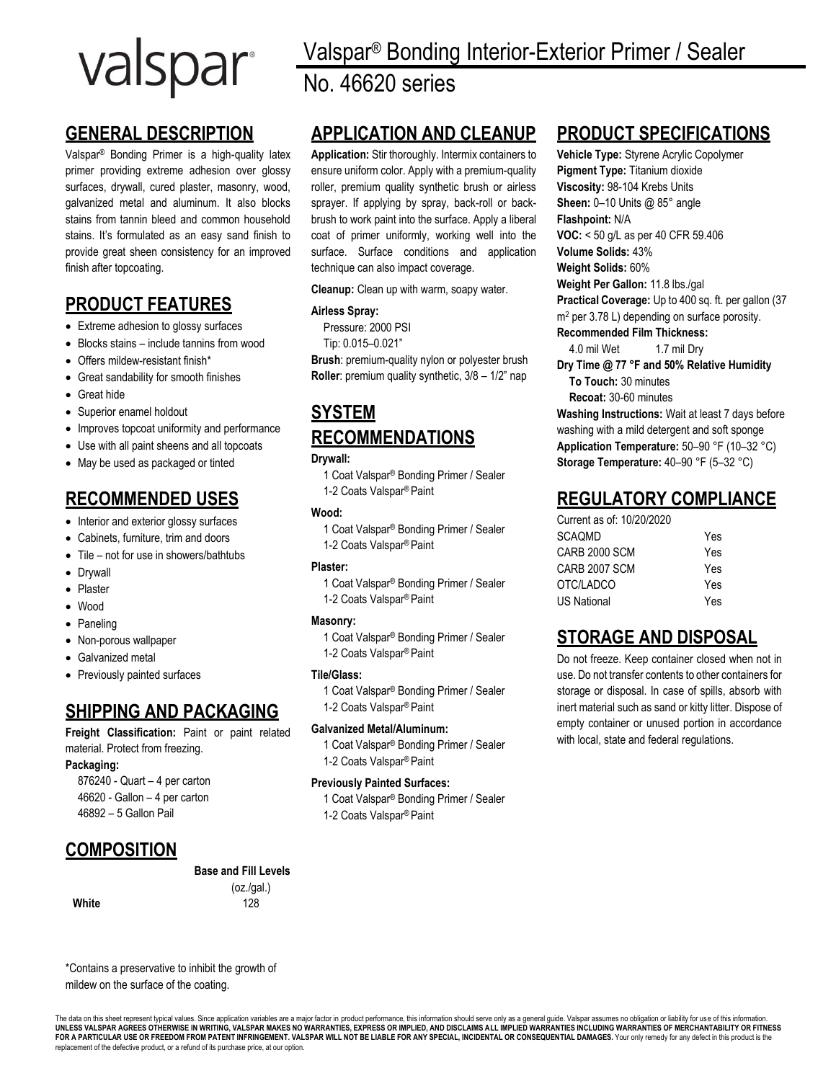# valspar

# **GENERAL DESCRIPTION**

Valspar® Bonding Primer is a high-quality latex primer providing extreme adhesion over glossy surfaces, drywall, cured plaster, masonry, wood, galvanized metal and aluminum. It also blocks stains from tannin bleed and common household stains. It's formulated as an easy sand finish to provide great sheen consistency for an improved finish after topcoating.

# **PRODUCT FEATURES**

- Extreme adhesion to glossy surfaces
- Blocks stains include tannins from wood
- Offers mildew-resistant finish\*
- Great sandability for smooth finishes
- Great hide
- Superior enamel holdout
- Improves topcoat uniformity and performance
- Use with all paint sheens and all topcoats
- May be used as packaged or tinted

## **RECOMMENDED USES**

- Interior and exterior glossy surfaces
- Cabinets, furniture, trim and doors
- Tile not for use in showers/bathtubs
- Drywall
- Plaster
- Wood
- Paneling
- Non-porous wallpaper
- Galvanized metal
- Previously painted surfaces

## **SHIPPING AND PACKAGING**

**Freight Classification:** Paint or paint related material. Protect from freezing.

\*Contains a preservative to inhibit the growth of

## **Packaging:**

876240 - Quart – 4 per carton 46620 - Gallon – 4 per carton 46892 – 5 Gallon Pail

## **COMPOSITION**

## **Base and Fill Levels**

(oz./gal.) **White** 128

Valspar® Bonding Interior-Exterior Primer / Sealer No. 46620 series

## **APPLICATION AND CLEANUP**

**Application:** Stir thoroughly. Intermix containers to ensure uniform color. Apply with a premium-quality roller, premium quality synthetic brush or airless sprayer. If applying by spray, back-roll or backbrush to work paint into the surface. Apply a liberal coat of primer uniformly, working well into the surface. Surface conditions and application technique can also impact coverage.

**Cleanup:** Clean up with warm, soapy water.

## **Airless Spray:**

Pressure: 2000 PSI

Tip: 0.015–0.021"

**Brush**: premium-quality nylon or polyester brush **Roller**: premium quality synthetic, 3/8 – 1/2" nap

# **SYSTEM RECOMMENDATIONS**

## **Drywall:**

1 Coat Valspar® Bonding Primer / Sealer 1-2 Coats Valspar® Paint

### **Wood:**

1 Coat Valspar® Bonding Primer / Sealer 1-2 Coats Valspar® Paint

## **Plaster:**

1 Coat Valspar® Bonding Primer / Sealer 1-2 Coats Valspar® Paint

## **Masonry:**

1 Coat Valspar® Bonding Primer / Sealer 1-2 Coats Valspar® Paint

## **Tile/Glass:**

1 Coat Valspar® Bonding Primer / Sealer 1-2 Coats Valspar® Paint

## **Galvanized Metal/Aluminum:**

1 Coat Valspar® Bonding Primer / Sealer 1-2 Coats Valspar® Paint

## **Previously Painted Surfaces:**

1 Coat Valspar® Bonding Primer / Sealer 1-2 Coats Valspar® Paint

## **PRODUCT SPECIFICATIONS**

**Vehicle Type:** Styrene Acrylic Copolymer **Pigment Type:** Titanium dioxide **Viscosity:** 98-104 Krebs Units **Sheen: 0-10 Units @ 85° angle Flashpoint:** N/A **VOC:** < 50 g/L as per 40 CFR 59.406 **Volume Solids:** 43% **Weight Solids:** 60% **Weight Per Gallon:** 11.8 lbs./gal **Practical Coverage:** Up to 400 sq. ft. per gallon (37 m<sup>2</sup> per 3.78 L) depending on surface porosity. **Recommended Film Thickness:** 4.0 mil Wet 1.7 mil Dry **Dry Time @ 77 °F and 50% Relative Humidity To Touch:** 30 minutes **Recoat:** 30-60 minutes **Washing Instructions:** Wait at least 7 days before washing with a mild detergent and soft sponge **Application Temperature:** 50–90 °F (10–32 °C) **Storage Temperature:** 40–90 °F (5–32 °C)

## **REGULATORY COMPLIANCE**

| Current as of: 10/20/2020 |     |
|---------------------------|-----|
| SCAOMD                    | Yes |
| CARB 2000 SCM             | Yes |
| CARB 2007 SCM             | Yes |
| OTC/LADCO                 | Yes |
| US National               | Yes |

## **STORAGE AND DISPOSAL**

Do not freeze. Keep container closed when not in use. Do not transfer contents to other containers for storage or disposal. In case of spills, absorb with inert material such as sand or kitty litter. Dispose of empty container or unused portion in accordance with local, state and federal regulations.

mildew on the surface of the coating.

The data on this sheet represent typical values. Since application variables are a major factor in product performance, this information should serve only as a general guide. Valspar assumes no obligation or liability for FOR A PARTICULAR USE OR FREEDOM FROM PATENT INFRINGEMENT. VALSPAR WILL NOT BE LIABLE FOR ANY SPECIAL, INCIDENTAL OR CONSEQUENTIAL DAMAGES. Your only remedy for any defect in this product is the replacement of the defective product, or a refund of its purchase price, at our option.